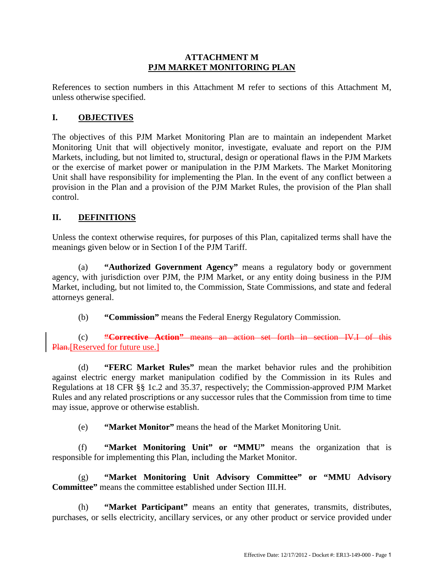#### **ATTACHMENT M PJM MARKET MONITORING PLAN**

References to section numbers in this Attachment M refer to sections of this Attachment M, unless otherwise specified.

## **I. OBJECTIVES**

The objectives of this PJM Market Monitoring Plan are to maintain an independent Market Monitoring Unit that will objectively monitor, investigate, evaluate and report on the PJM Markets, including, but not limited to, structural, design or operational flaws in the PJM Markets or the exercise of market power or manipulation in the PJM Markets. The Market Monitoring Unit shall have responsibility for implementing the Plan. In the event of any conflict between a provision in the Plan and a provision of the PJM Market Rules, the provision of the Plan shall control.

## **II. DEFINITIONS**

Unless the context otherwise requires, for purposes of this Plan, capitalized terms shall have the meanings given below or in Section I of the PJM Tariff.

(a) **"Authorized Government Agency"** means a regulatory body or government agency, with jurisdiction over PJM, the PJM Market, or any entity doing business in the PJM Market, including, but not limited to, the Commission, State Commissions, and state and federal attorneys general.

(b) **"Commission"** means the Federal Energy Regulatory Commission.

(c) **"Corrective Action"** means an action set forth in section IV.I of this Plan. [Reserved for future use.]

(d) **"FERC Market Rules"** mean the market behavior rules and the prohibition against electric energy market manipulation codified by the Commission in its Rules and Regulations at 18 CFR §§ 1c.2 and 35.37, respectively; the Commission-approved PJM Market Rules and any related proscriptions or any successor rules that the Commission from time to time may issue, approve or otherwise establish.

(e) **"Market Monitor"** means the head of the Market Monitoring Unit.

(f) **"Market Monitoring Unit" or "MMU"** means the organization that is responsible for implementing this Plan, including the Market Monitor.

(g) **"Market Monitoring Unit Advisory Committee" or "MMU Advisory Committee"** means the committee established under Section III.H.

(h) **"Market Participant"** means an entity that generates, transmits, distributes, purchases, or sells electricity, ancillary services, or any other product or service provided under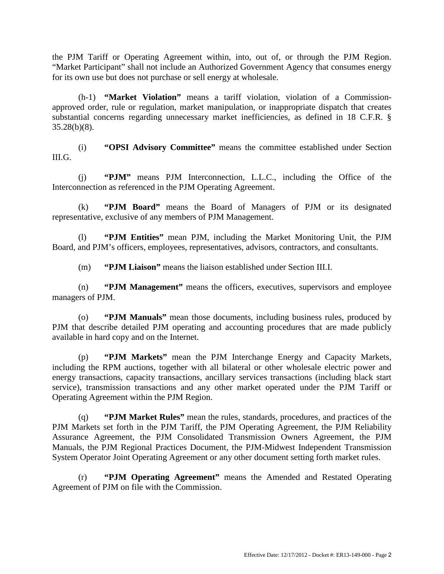the PJM Tariff or Operating Agreement within, into, out of, or through the PJM Region. "Market Participant" shall not include an Authorized Government Agency that consumes energy for its own use but does not purchase or sell energy at wholesale.

(h-1) **"Market Violation"** means a tariff violation, violation of a Commissionapproved order, rule or regulation, market manipulation, or inappropriate dispatch that creates substantial concerns regarding unnecessary market inefficiencies, as defined in 18 C.F.R. § 35.28(b)(8).

(i) **"OPSI Advisory Committee"** means the committee established under Section III.G.

(j) **"PJM"** means PJM Interconnection, L.L.C., including the Office of the Interconnection as referenced in the PJM Operating Agreement.

(k) **"PJM Board"** means the Board of Managers of PJM or its designated representative, exclusive of any members of PJM Management.

(l) **"PJM Entities"** mean PJM, including the Market Monitoring Unit, the PJM Board, and PJM's officers, employees, representatives, advisors, contractors, and consultants.

(m) **"PJM Liaison"** means the liaison established under Section III.I.

(n) **"PJM Management"** means the officers, executives, supervisors and employee managers of PJM.

(o) **"PJM Manuals"** mean those documents, including business rules, produced by PJM that describe detailed PJM operating and accounting procedures that are made publicly available in hard copy and on the Internet.

(p) **"PJM Markets"** mean the PJM Interchange Energy and Capacity Markets, including the RPM auctions, together with all bilateral or other wholesale electric power and energy transactions, capacity transactions, ancillary services transactions (including black start service), transmission transactions and any other market operated under the PJM Tariff or Operating Agreement within the PJM Region.

(q) **"PJM Market Rules"** mean the rules, standards, procedures, and practices of the PJM Markets set forth in the PJM Tariff, the PJM Operating Agreement, the PJM Reliability Assurance Agreement, the PJM Consolidated Transmission Owners Agreement, the PJM Manuals, the PJM Regional Practices Document, the PJM-Midwest Independent Transmission System Operator Joint Operating Agreement or any other document setting forth market rules.

(r) **"PJM Operating Agreement"** means the Amended and Restated Operating Agreement of PJM on file with the Commission.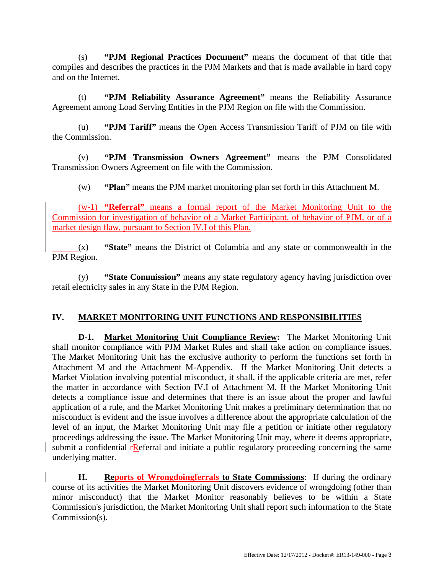(s) **"PJM Regional Practices Document"** means the document of that title that compiles and describes the practices in the PJM Markets and that is made available in hard copy and on the Internet.

(t) **"PJM Reliability Assurance Agreement"** means the Reliability Assurance Agreement among Load Serving Entities in the PJM Region on file with the Commission.

(u) **"PJM Tariff"** means the Open Access Transmission Tariff of PJM on file with the Commission.

(v) **"PJM Transmission Owners Agreement"** means the PJM Consolidated Transmission Owners Agreement on file with the Commission.

(w) **"Plan"** means the PJM market monitoring plan set forth in this Attachment M.

(w-1) **"Referral"** means a formal report of the Market Monitoring Unit to the Commission for investigation of behavior of a Market Participant, of behavior of PJM, or of a market design flaw, pursuant to Section IV.I of this Plan.

(x) **"State"** means the District of Columbia and any state or commonwealth in the PJM Region.

(y) **"State Commission"** means any state regulatory agency having jurisdiction over retail electricity sales in any State in the PJM Region.

## **IV. MARKET MONITORING UNIT FUNCTIONS AND RESPONSIBILITIES**

**D-1. Market Monitoring Unit Compliance Review:** The Market Monitoring Unit shall monitor compliance with PJM Market Rules and shall take action on compliance issues. The Market Monitoring Unit has the exclusive authority to perform the functions set forth in Attachment M and the Attachment M-Appendix. If the Market Monitoring Unit detects a Market Violation involving potential misconduct, it shall, if the applicable criteria are met, refer the matter in accordance with Section IV.I of Attachment M. If the Market Monitoring Unit detects a compliance issue and determines that there is an issue about the proper and lawful application of a rule, and the Market Monitoring Unit makes a preliminary determination that no misconduct is evident and the issue involves a difference about the appropriate calculation of the level of an input, the Market Monitoring Unit may file a petition or initiate other regulatory proceedings addressing the issue. The Market Monitoring Unit may, where it deems appropriate, submit a confidential *FReferral* and initiate a public regulatory proceeding concerning the same underlying matter.

**H. Reports of Wrongdoingferrals to State Commissions**: If during the ordinary course of its activities the Market Monitoring Unit discovers evidence of wrongdoing (other than minor misconduct) that the Market Monitor reasonably believes to be within a State Commission's jurisdiction, the Market Monitoring Unit shall report such information to the State Commission(s).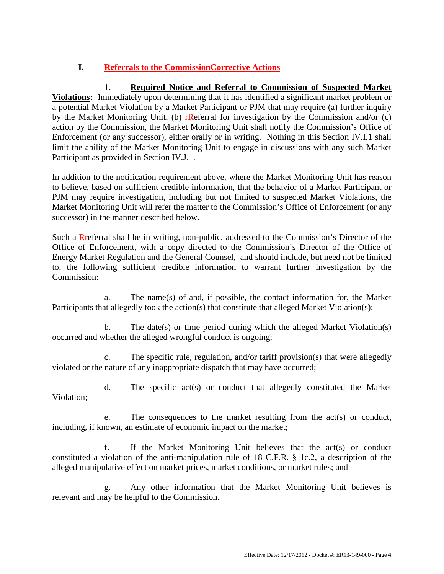# **I. Referrals to the CommissionCorrective Actions**

 1. **Required Notice and Referral to Commission of Suspected Market Violations:** Immediately upon determining that it has identified a significant market problem or a potential Market Violation by a Market Participant or PJM that may require (a) further inquiry by the Market Monitoring Unit, (b)  $\mathbf{r}$ Referral for investigation by the Commission and/or (c) action by the Commission, the Market Monitoring Unit shall notify the Commission's Office of Enforcement (or any successor), either orally or in writing. Nothing in this Section IV.I.1 shall limit the ability of the Market Monitoring Unit to engage in discussions with any such Market Participant as provided in Section IV.J.1.

In addition to the notification requirement above, where the Market Monitoring Unit has reason to believe, based on sufficient credible information, that the behavior of a Market Participant or PJM may require investigation, including but not limited to suspected Market Violations, the Market Monitoring Unit will refer the matter to the Commission's Office of Enforcement (or any successor) in the manner described below.

Such a Rreferral shall be in writing, non-public, addressed to the Commission's Director of the Office of Enforcement, with a copy directed to the Commission's Director of the Office of Energy Market Regulation and the General Counsel, and should include, but need not be limited to, the following sufficient credible information to warrant further investigation by the Commission:

 a. The name(s) of and, if possible, the contact information for, the Market Participants that allegedly took the action(s) that constitute that alleged Market Violation(s);

 b. The date(s) or time period during which the alleged Market Violation(s) occurred and whether the alleged wrongful conduct is ongoing;

 c. The specific rule, regulation, and/or tariff provision(s) that were allegedly violated or the nature of any inappropriate dispatch that may have occurred;

 d. The specific act(s) or conduct that allegedly constituted the Market Violation;

 e. The consequences to the market resulting from the act(s) or conduct, including, if known, an estimate of economic impact on the market;

f. If the Market Monitoring Unit believes that the  $act(s)$  or conduct constituted a violation of the anti-manipulation rule of 18 C.F.R. § 1c.2, a description of the alleged manipulative effect on market prices, market conditions, or market rules; and

 g. Any other information that the Market Monitoring Unit believes is relevant and may be helpful to the Commission.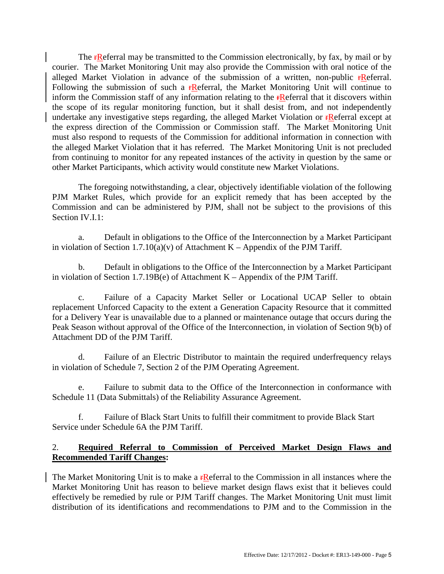The **FR**eferral may be transmitted to the Commission electronically, by fax, by mail or by courier. The Market Monitoring Unit may also provide the Commission with oral notice of the alleged Market Violation in advance of the submission of a written, non-public  $\mathbf{f}$ Referral. Following the submission of such a  $\epsilon$ Referral, the Market Monitoring Unit will continue to inform the Commission staff of any information relating to the **FR**eferral that it discovers within the scope of its regular monitoring function, but it shall desist from, and not independently undertake any investigative steps regarding, the alleged Market Violation or **FR**eferral except at the express direction of the Commission or Commission staff. The Market Monitoring Unit must also respond to requests of the Commission for additional information in connection with the alleged Market Violation that it has referred. The Market Monitoring Unit is not precluded from continuing to monitor for any repeated instances of the activity in question by the same or other Market Participants, which activity would constitute new Market Violations.

The foregoing notwithstanding, a clear, objectively identifiable violation of the following PJM Market Rules, which provide for an explicit remedy that has been accepted by the Commission and can be administered by PJM, shall not be subject to the provisions of this Section IV.I.1:

a. Default in obligations to the Office of the Interconnection by a Market Participant in violation of Section 1.7.10(a)(v) of Attachment K – Appendix of the PJM Tariff.

b. Default in obligations to the Office of the Interconnection by a Market Participant in violation of Section 1.7.19B(e) of Attachment K – Appendix of the PJM Tariff.

c. Failure of a Capacity Market Seller or Locational UCAP Seller to obtain replacement Unforced Capacity to the extent a Generation Capacity Resource that it committed for a Delivery Year is unavailable due to a planned or maintenance outage that occurs during the Peak Season without approval of the Office of the Interconnection, in violation of Section 9(b) of Attachment DD of the PJM Tariff.

d. Failure of an Electric Distributor to maintain the required underfrequency relays in violation of Schedule 7, Section 2 of the PJM Operating Agreement.

e. Failure to submit data to the Office of the Interconnection in conformance with Schedule 11 (Data Submittals) of the Reliability Assurance Agreement.

f. Failure of Black Start Units to fulfill their commitment to provide Black Start Service under Schedule 6A the PJM Tariff.

## 2. **Required Referral to Commission of Perceived Market Design Flaws and Recommended Tariff Changes:**

The Market Monitoring Unit is to make a  $\mathbf{r}$ Referral to the Commission in all instances where the Market Monitoring Unit has reason to believe market design flaws exist that it believes could effectively be remedied by rule or PJM Tariff changes. The Market Monitoring Unit must limit distribution of its identifications and recommendations to PJM and to the Commission in the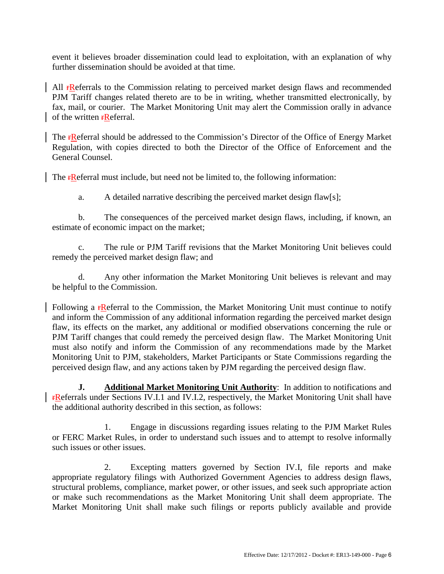event it believes broader dissemination could lead to exploitation, with an explanation of why further dissemination should be avoided at that time.

All **FR**eferrals to the Commission relating to perceived market design flaws and recommended PJM Tariff changes related thereto are to be in writing, whether transmitted electronically, by fax, mail, or courier. The Market Monitoring Unit may alert the Commission orally in advance of the written **rReferral**.

The **FR**eferral should be addressed to the Commission's Director of the Office of Energy Market Regulation, with copies directed to both the Director of the Office of Enforcement and the General Counsel.

The  $\mathbf{r}$ Referral must include, but need not be limited to, the following information:

a. A detailed narrative describing the perceived market design flaw[s];

 b. The consequences of the perceived market design flaws, including, if known, an estimate of economic impact on the market;

c. The rule or PJM Tariff revisions that the Market Monitoring Unit believes could remedy the perceived market design flaw; and

 d. Any other information the Market Monitoring Unit believes is relevant and may be helpful to the Commission.

Following a **FR**eferral to the Commission, the Market Monitoring Unit must continue to notify and inform the Commission of any additional information regarding the perceived market design flaw, its effects on the market, any additional or modified observations concerning the rule or PJM Tariff changes that could remedy the perceived design flaw. The Market Monitoring Unit must also notify and inform the Commission of any recommendations made by the Market Monitoring Unit to PJM, stakeholders, Market Participants or State Commissions regarding the perceived design flaw, and any actions taken by PJM regarding the perceived design flaw.

 **J. Additional Market Monitoring Unit Authority**: In addition to notifications and rReferrals under Sections IV.I.1 and IV.I.2, respectively, the Market Monitoring Unit shall have the additional authority described in this section, as follows:

 1. Engage in discussions regarding issues relating to the PJM Market Rules or FERC Market Rules, in order to understand such issues and to attempt to resolve informally such issues or other issues.

 2. Excepting matters governed by Section IV.I, file reports and make appropriate regulatory filings with Authorized Government Agencies to address design flaws, structural problems, compliance, market power, or other issues, and seek such appropriate action or make such recommendations as the Market Monitoring Unit shall deem appropriate. The Market Monitoring Unit shall make such filings or reports publicly available and provide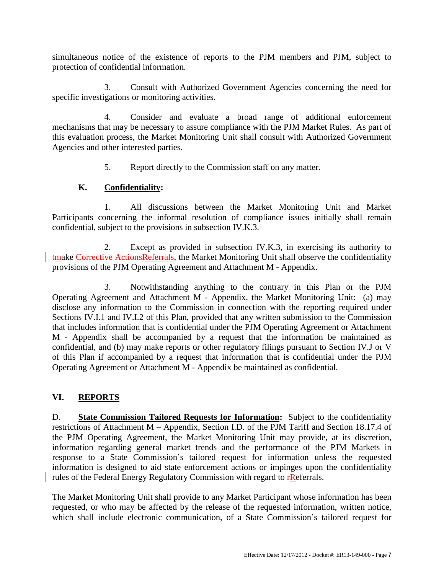simultaneous notice of the existence of reports to the PJM members and PJM, subject to protection of confidential information.

 3. Consult with Authorized Government Agencies concerning the need for specific investigations or monitoring activities.

 4. Consider and evaluate a broad range of additional enforcement mechanisms that may be necessary to assure compliance with the PJM Market Rules. As part of this evaluation process, the Market Monitoring Unit shall consult with Authorized Government Agencies and other interested parties.

5. Report directly to the Commission staff on any matter.

#### **K. Confidentiality:**

 1. All discussions between the Market Monitoring Unit and Market Participants concerning the informal resolution of compliance issues initially shall remain confidential, subject to the provisions in subsection IV.K.3.

 2. Except as provided in subsection IV.K.3, in exercising its authority to tmake Corrective ActionsReferrals, the Market Monitoring Unit shall observe the confidentiality provisions of the PJM Operating Agreement and Attachment M - Appendix.

 3. Notwithstanding anything to the contrary in this Plan or the PJM Operating Agreement and Attachment M - Appendix, the Market Monitoring Unit: (a) may disclose any information to the Commission in connection with the reporting required under Sections IV.I.1 and IV.I.2 of this Plan, provided that any written submission to the Commission that includes information that is confidential under the PJM Operating Agreement or Attachment M - Appendix shall be accompanied by a request that the information be maintained as confidential, and (b) may make reports or other regulatory filings pursuant to Section IV.J or V of this Plan if accompanied by a request that information that is confidential under the PJM Operating Agreement or Attachment M - Appendix be maintained as confidential.

## **VI. REPORTS**

D. **State Commission Tailored Requests for Information:** Subject to the confidentiality restrictions of Attachment M – Appendix, Section I.D. of the PJM Tariff and Section 18.17.4 of the PJM Operating Agreement, the Market Monitoring Unit may provide, at its discretion, information regarding general market trends and the performance of the PJM Markets in response to a State Commission's tailored request for information unless the requested information is designed to aid state enforcement actions or impinges upon the confidentiality rules of the Federal Energy Regulatory Commission with regard to  $\mathbf{r}$ Referrals.

The Market Monitoring Unit shall provide to any Market Participant whose information has been requested, or who may be affected by the release of the requested information, written notice, which shall include electronic communication, of a State Commission's tailored request for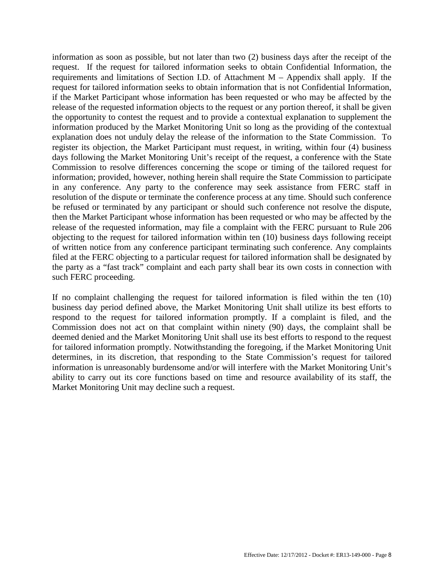information as soon as possible, but not later than two (2) business days after the receipt of the request. If the request for tailored information seeks to obtain Confidential Information, the requirements and limitations of Section I.D. of Attachment M – Appendix shall apply. If the request for tailored information seeks to obtain information that is not Confidential Information, if the Market Participant whose information has been requested or who may be affected by the release of the requested information objects to the request or any portion thereof, it shall be given the opportunity to contest the request and to provide a contextual explanation to supplement the information produced by the Market Monitoring Unit so long as the providing of the contextual explanation does not unduly delay the release of the information to the State Commission. To register its objection, the Market Participant must request, in writing, within four (4) business days following the Market Monitoring Unit's receipt of the request, a conference with the State Commission to resolve differences concerning the scope or timing of the tailored request for information; provided, however, nothing herein shall require the State Commission to participate in any conference. Any party to the conference may seek assistance from FERC staff in resolution of the dispute or terminate the conference process at any time. Should such conference be refused or terminated by any participant or should such conference not resolve the dispute, then the Market Participant whose information has been requested or who may be affected by the release of the requested information, may file a complaint with the FERC pursuant to Rule 206 objecting to the request for tailored information within ten (10) business days following receipt of written notice from any conference participant terminating such conference. Any complaints filed at the FERC objecting to a particular request for tailored information shall be designated by the party as a "fast track" complaint and each party shall bear its own costs in connection with such FERC proceeding.

If no complaint challenging the request for tailored information is filed within the ten (10) business day period defined above, the Market Monitoring Unit shall utilize its best efforts to respond to the request for tailored information promptly. If a complaint is filed, and the Commission does not act on that complaint within ninety (90) days, the complaint shall be deemed denied and the Market Monitoring Unit shall use its best efforts to respond to the request for tailored information promptly. Notwithstanding the foregoing, if the Market Monitoring Unit determines, in its discretion, that responding to the State Commission's request for tailored information is unreasonably burdensome and/or will interfere with the Market Monitoring Unit's ability to carry out its core functions based on time and resource availability of its staff, the Market Monitoring Unit may decline such a request.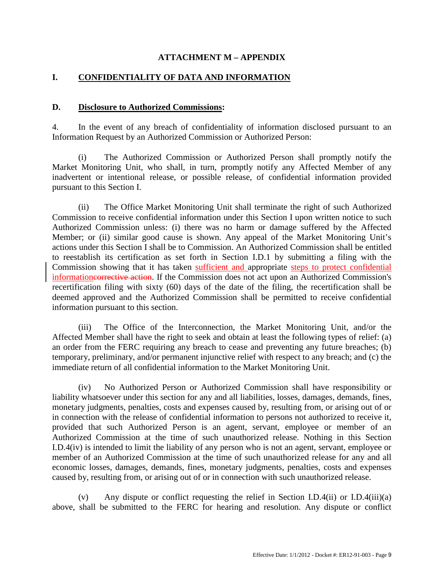#### **ATTACHMENT M – APPENDIX**

### **I. CONFIDENTIALITY OF DATA AND INFORMATION**

#### **D. Disclosure to Authorized Commissions:**

4. In the event of any breach of confidentiality of information disclosed pursuant to an Information Request by an Authorized Commission or Authorized Person:

(i) The Authorized Commission or Authorized Person shall promptly notify the Market Monitoring Unit, who shall, in turn, promptly notify any Affected Member of any inadvertent or intentional release, or possible release, of confidential information provided pursuant to this Section I.

(ii) The Office Market Monitoring Unit shall terminate the right of such Authorized Commission to receive confidential information under this Section I upon written notice to such Authorized Commission unless: (i) there was no harm or damage suffered by the Affected Member; or (ii) similar good cause is shown. Any appeal of the Market Monitoring Unit's actions under this Section I shall be to Commission. An Authorized Commission shall be entitled to reestablish its certification as set forth in Section I.D.1 by submitting a filing with the Commission showing that it has taken sufficient and appropriate steps to protect confidential informationcorrective action. If the Commission does not act upon an Authorized Commission's recertification filing with sixty (60) days of the date of the filing, the recertification shall be deemed approved and the Authorized Commission shall be permitted to receive confidential information pursuant to this section.

(iii) The Office of the Interconnection, the Market Monitoring Unit, and/or the Affected Member shall have the right to seek and obtain at least the following types of relief: (a) an order from the FERC requiring any breach to cease and preventing any future breaches; (b) temporary, preliminary, and/or permanent injunctive relief with respect to any breach; and (c) the immediate return of all confidential information to the Market Monitoring Unit.

(iv) No Authorized Person or Authorized Commission shall have responsibility or liability whatsoever under this section for any and all liabilities, losses, damages, demands, fines, monetary judgments, penalties, costs and expenses caused by, resulting from, or arising out of or in connection with the release of confidential information to persons not authorized to receive it, provided that such Authorized Person is an agent, servant, employee or member of an Authorized Commission at the time of such unauthorized release. Nothing in this Section I.D.4(iv) is intended to limit the liability of any person who is not an agent, servant, employee or member of an Authorized Commission at the time of such unauthorized release for any and all economic losses, damages, demands, fines, monetary judgments, penalties, costs and expenses caused by, resulting from, or arising out of or in connection with such unauthorized release.

(v) Any dispute or conflict requesting the relief in Section I.D.4(ii) or I.D.4(iii)(a) above, shall be submitted to the FERC for hearing and resolution. Any dispute or conflict